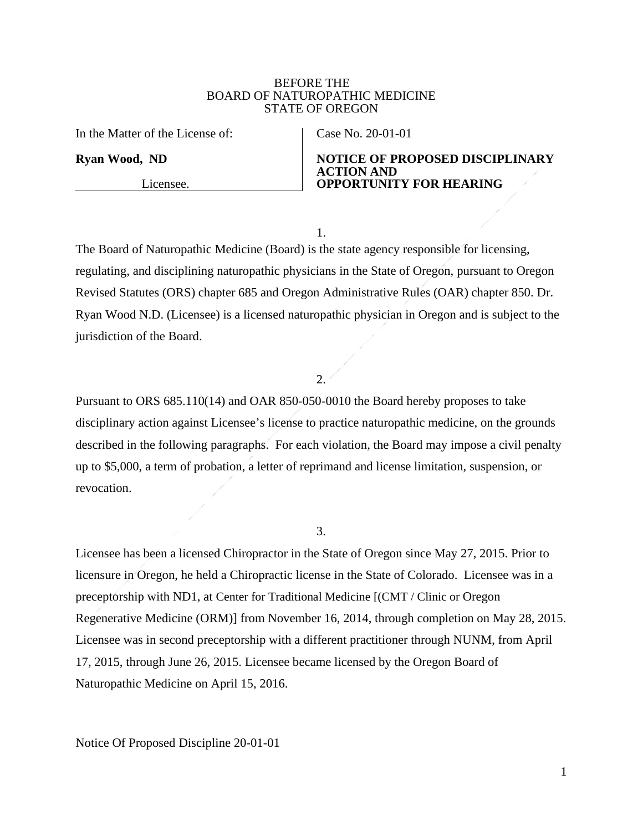#### BEFORE THE BOARD OF NATUROPATHIC MEDICINE STATE OF OREGON

In the Matter of the License of:

**Ryan Wood, ND**

Licensee.

Case No. 20-01-01

### **NOTICE OF PROPOSED DISCIPLINARY ACTION AND OPPORTUNITY FOR HEARING**

1.

The Board of Naturopathic Medicine (Board) is the state agency responsible for licensing, regulating, and disciplining naturopathic physicians in the State of Oregon, pursuant to Oregon Revised Statutes (ORS) chapter 685 and Oregon Administrative Rules (OAR) chapter 850. Dr. Ryan Wood N.D. (Licensee) is a licensed naturopathic physician in Oregon and is subject to the jurisdiction of the Board.

### 2.

Pursuant to ORS 685.110(14) and OAR 850-050-0010 the Board hereby proposes to take disciplinary action against Licensee's license to practice naturopathic medicine, on the grounds described in the following paragraphs. For each violation, the Board may impose a civil penalty up to \$5,000, a term of probation, a letter of reprimand and license limitation, suspension, or revocation.

3.

Licensee has been a licensed Chiropractor in the State of Oregon since May 27, 2015. Prior to licensure in Oregon, he held a Chiropractic license in the State of Colorado. Licensee was in a preceptorship with ND1, at Center for Traditional Medicine [(CMT / Clinic or Oregon Regenerative Medicine (ORM)] from November 16, 2014, through completion on May 28, 2015. Licensee was in second preceptorship with a different practitioner through NUNM, from April 17, 2015, through June 26, 2015. Licensee became licensed by the Oregon Board of Naturopathic Medicine on April 15, 2016.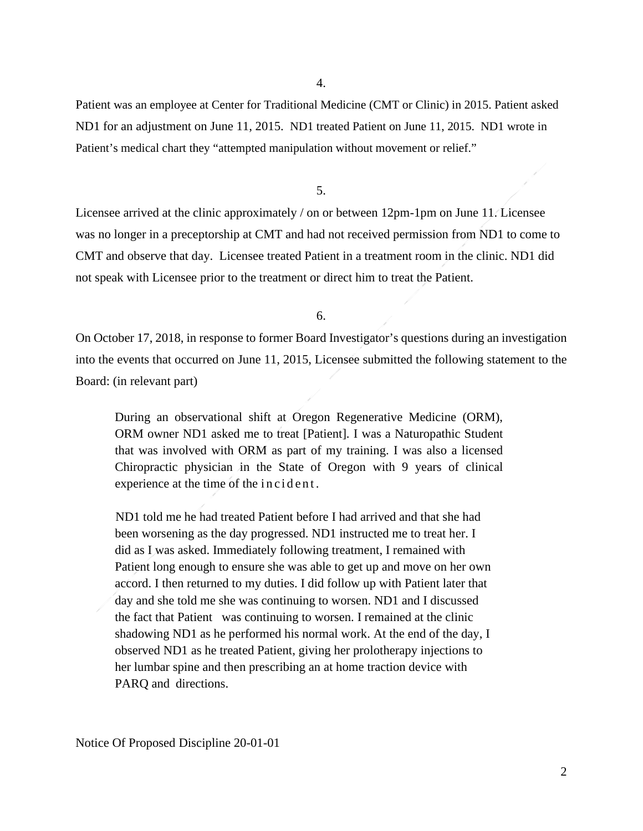4.

Patient was an employee at Center for Traditional Medicine (CMT or Clinic) in 2015. Patient asked ND1 for an adjustment on June 11, 2015. ND1 treated Patient on June 11, 2015. ND1 wrote in Patient's medical chart they "attempted manipulation without movement or relief."

5.

Licensee arrived at the clinic approximately / on or between 12pm-1pm on June 11. Licensee was no longer in a preceptorship at CMT and had not received permission from ND1 to come to CMT and observe that day. Licensee treated Patient in a treatment room in the clinic. ND1 did not speak with Licensee prior to the treatment or direct him to treat the Patient.

6.

On October 17, 2018, in response to former Board Investigator's questions during an investigation into the events that occurred on June 11, 2015, Licensee submitted the following statement to the Board: (in relevant part)

During an observational shift at Oregon Regenerative Medicine (ORM), ORM owner ND1 asked me to treat [Patient]. I was a Naturopathic Student that was involved with ORM as part of my training. I was also a licensed Chiropractic physician in the State of Oregon with 9 years of clinical experience at the time of the incident.

ND1 told me he had treated Patient before I had arrived and that she had been worsening as the day progressed. ND1 instructed me to treat her. I did as I was asked. Immediately following treatment, I remained with Patient long enough to ensure she was able to get up and move on her own accord. I then returned to my duties. I did follow up with Patient later that day and she told me she was continuing to worsen. ND1 and I discussed the fact that Patient was continuing to worsen. I remained at the clinic shadowing ND1 as he performed his normal work. At the end of the day, I observed ND1 as he treated Patient, giving her prolotherapy injections to her lumbar spine and then prescribing an at home traction device with PARQ and directions.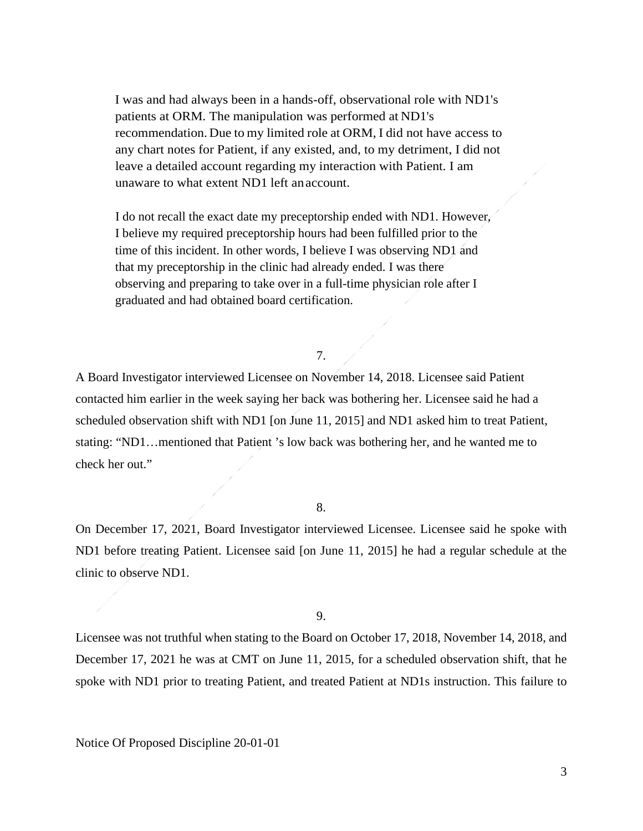I was and had always been in a hands-off, observational role with ND1's patients at ORM. The manipulation was performed at ND1's recommendation.Due to my limited role at ORM, I did not have access to any chart notes for Patient, if any existed, and, to my detriment, I did not leave a detailed account regarding my interaction with Patient. I am unaware to what extent ND1 left anaccount.

I do not recall the exact date my preceptorship ended with ND1. However, I believe my required preceptorship hours had been fulfilled prior to the time of this incident. In other words, I believe I was observing ND1 and that my preceptorship in the clinic had already ended. I was there observing and preparing to take over in a full-time physician role after I graduated and had obtained board certification.

# 7.

A Board Investigator interviewed Licensee on November 14, 2018. Licensee said Patient contacted him earlier in the week saying her back was bothering her. Licensee said he had a scheduled observation shift with ND1 [on June 11, 2015] and ND1 asked him to treat Patient, stating: "ND1…mentioned that Patient 's low back was bothering her, and he wanted me to check her out."

### 8.

On December 17, 2021, Board Investigator interviewed Licensee. Licensee said he spoke with ND1 before treating Patient. Licensee said [on June 11, 2015] he had a regular schedule at the clinic to observe ND1.

#### 9.

Licensee was not truthful when stating to the Board on October 17, 2018, November 14, 2018, and December 17, 2021 he was at CMT on June 11, 2015, for a scheduled observation shift, that he spoke with ND1 prior to treating Patient, and treated Patient at ND1s instruction. This failure to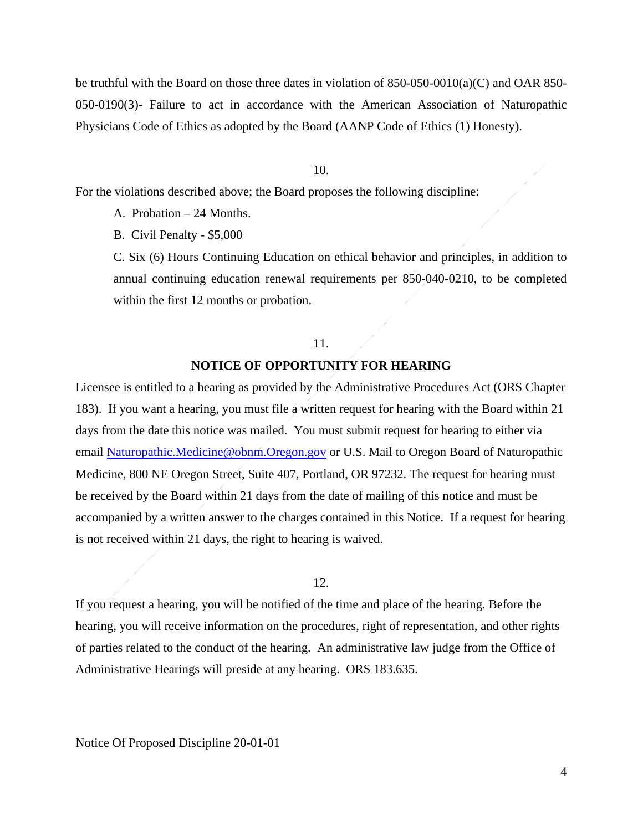be truthful with the Board on those three dates in violation of 850-050-0010(a)(C) and OAR 850- 050-0190(3)- Failure to act in accordance with the American Association of Naturopathic Physicians Code of Ethics as adopted by the Board (AANP Code of Ethics (1) Honesty).

10.

For the violations described above; the Board proposes the following discipline:

A. Probation – 24 Months.

B. Civil Penalty - \$5,000

C. Six (6) Hours Continuing Education on ethical behavior and principles, in addition to annual continuing education renewal requirements per 850-040-0210, to be completed within the first 12 months or probation.

#### 11.

# **NOTICE OF OPPORTUNITY FOR HEARING**

Licensee is entitled to a hearing as provided by the Administrative Procedures Act (ORS Chapter 183). If you want a hearing, you must file a written request for hearing with the Board within 21 days from the date this notice was mailed. You must submit request for hearing to either via email [Naturopathic.Medicine@obnm.Oregon.gov](mailto:Naturopathic.Medicine@obnm.Oregon.gov) or U.S. Mail to Oregon Board of Naturopathic Medicine, 800 NE Oregon Street, Suite 407, Portland, OR 97232. The request for hearing must be received by the Board within 21 days from the date of mailing of this notice and must be accompanied by a written answer to the charges contained in this Notice. If a request for hearing is not received within 21 days, the right to hearing is waived.

#### 12.

If you request a hearing, you will be notified of the time and place of the hearing. Before the hearing, you will receive information on the procedures, right of representation, and other rights of parties related to the conduct of the hearing. An administrative law judge from the Office of Administrative Hearings will preside at any hearing. ORS 183.635.